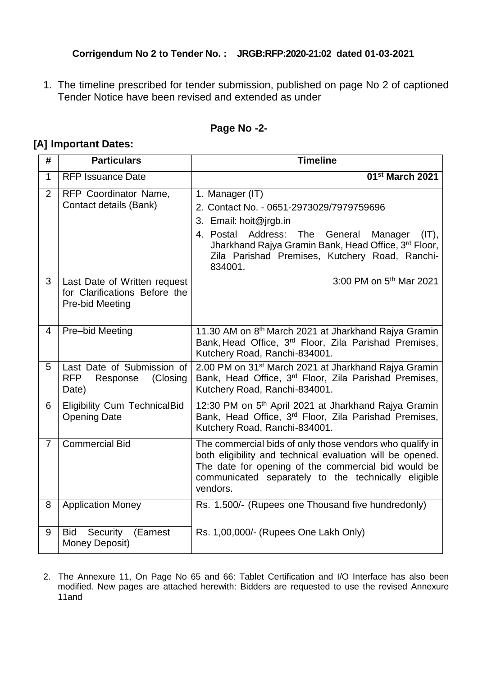## **Corrigendum No 2 to Tender No. : JRGB:RFP:2020-21:02 dated 01-03-2021**

1. The timeline prescribed for tender submission, published on page No 2 of captioned Tender Notice have been revised and extended as under

## **Page No -2-**

## **[A] Important Dates:**

| #              | <b>Particulars</b>                                                               | <b>Timeline</b>                                                                                                                                                                                                                                 |
|----------------|----------------------------------------------------------------------------------|-------------------------------------------------------------------------------------------------------------------------------------------------------------------------------------------------------------------------------------------------|
| $\mathbf{1}$   | <b>RFP Issuance Date</b>                                                         | 01 <sup>st</sup> March 2021                                                                                                                                                                                                                     |
| 2              | RFP Coordinator Name,<br>Contact details (Bank)                                  | 1. Manager (IT)<br>2. Contact No. - 0651-2973029/7979759696<br>3. Email: hoit@jrgb.in<br>4. Postal Address:<br>The<br>General<br>Manager<br>$(IT)$ ,<br>Jharkhand Rajya Gramin Bank, Head Office, 3rd Floor,                                    |
| 3              | Last Date of Written request<br>for Clarifications Before the<br>Pre-bid Meeting | Zila Parishad Premises, Kutchery Road, Ranchi-<br>834001.<br>3:00 PM on 5 <sup>th</sup> Mar 2021                                                                                                                                                |
| $\overline{4}$ | Pre-bid Meeting                                                                  | 11.30 AM on 8 <sup>th</sup> March 2021 at Jharkhand Rajya Gramin<br>Bank, Head Office, 3 <sup>rd</sup> Floor, Zila Parishad Premises,<br>Kutchery Road, Ranchi-834001.                                                                          |
| 5              | Last Date of Submission of<br><b>RFP</b><br>(Closing<br>Response<br>Date)        | 2.00 PM on 31 <sup>st</sup> March 2021 at Jharkhand Rajya Gramin<br>Bank, Head Office, 3 <sup>rd</sup> Floor, Zila Parishad Premises,<br>Kutchery Road, Ranchi-834001.                                                                          |
| 6              | <b>Eligibility Cum TechnicalBid</b><br><b>Opening Date</b>                       | 12:30 PM on 5 <sup>th</sup> April 2021 at Jharkhand Rajya Gramin<br>Bank, Head Office, 3 <sup>rd</sup> Floor, Zila Parishad Premises,<br>Kutchery Road, Ranchi-834001.                                                                          |
| $\overline{7}$ | <b>Commercial Bid</b>                                                            | The commercial bids of only those vendors who qualify in<br>both eligibility and technical evaluation will be opened.<br>The date for opening of the commercial bid would be<br>communicated separately to the technically eligible<br>vendors. |
| 8              | <b>Application Money</b>                                                         | Rs. 1,500/- (Rupees one Thousand five hundredonly)                                                                                                                                                                                              |
| 9              | Bid<br>Security<br>(Earnest<br>Money Deposit)                                    | Rs. 1,00,000/- (Rupees One Lakh Only)                                                                                                                                                                                                           |

2. The Annexure 11, On Page No 65 and 66: Tablet Certification and I/O Interface has also been modified. New pages are attached herewith: Bidders are requested to use the revised Annexure 11and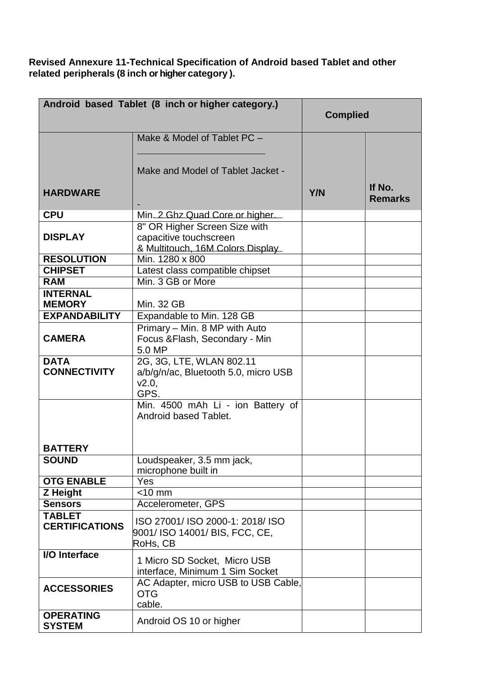**Revised Annexure 11-Technical Specification of Android based Tablet and other related peripherals (8 inch or higher category ).**

| Android based Tablet (8 inch or higher category.) | <b>Complied</b>                                                                             |            |                          |
|---------------------------------------------------|---------------------------------------------------------------------------------------------|------------|--------------------------|
|                                                   | Make & Model of Tablet PC -<br>Make and Model of Tablet Jacket -                            |            |                          |
| <b>HARDWARE</b>                                   |                                                                                             | <b>Y/N</b> | If No.<br><b>Remarks</b> |
| <b>CPU</b>                                        | Min 2 Ghz Quad Core or higher.                                                              |            |                          |
| <b>DISPLAY</b>                                    | 8" OR Higher Screen Size with<br>capacitive touchscreen<br>& Multitouch, 16M Colors Display |            |                          |
| <b>RESOLUTION</b>                                 | Min. 1280 x 800                                                                             |            |                          |
| <b>CHIPSET</b>                                    | Latest class compatible chipset                                                             |            |                          |
| <b>RAM</b>                                        | Min. 3 GB or More                                                                           |            |                          |
| <b>INTERNAL</b><br><b>MEMORY</b>                  | <b>Min. 32 GB</b>                                                                           |            |                          |
| <b>EXPANDABILITY</b>                              | Expandable to Min. 128 GB                                                                   |            |                          |
| <b>CAMERA</b>                                     | Primary - Min. 8 MP with Auto<br>Focus & Flash, Secondary - Min<br>5.0 MP                   |            |                          |
| <b>DATA</b><br><b>CONNECTIVITY</b>                | 2G, 3G, LTE, WLAN 802.11<br>a/b/g/n/ac, Bluetooth 5.0, micro USB<br>V2.0,<br>GPS.           |            |                          |
|                                                   | Min. 4500 mAh Li - ion Battery of<br>Android based Tablet.                                  |            |                          |
| <b>BATTERY</b>                                    |                                                                                             |            |                          |
| <b>SOUND</b>                                      | Loudspeaker, 3.5 mm jack,<br>microphone built in                                            |            |                          |
| <b>OTG ENABLE</b>                                 | Yes                                                                                         |            |                          |
| <b>Z</b> Height                                   | $<$ 10 mm                                                                                   |            |                          |
| <b>Sensors</b>                                    | Accelerometer, GPS                                                                          |            |                          |
| <b>TABLET</b><br><b>CERTIFICATIONS</b>            | ISO 27001/ ISO 2000-1: 2018/ ISO<br>9001/ ISO 14001/ BIS, FCC, CE,<br>RoHs, CB              |            |                          |
| I/O Interface                                     | 1 Micro SD Socket, Micro USB<br>interface, Minimum 1 Sim Socket                             |            |                          |
| <b>ACCESSORIES</b>                                | AC Adapter, micro USB to USB Cable,<br><b>OTG</b><br>cable.                                 |            |                          |
| <b>OPERATING</b><br><b>SYSTEM</b>                 | Android OS 10 or higher                                                                     |            |                          |